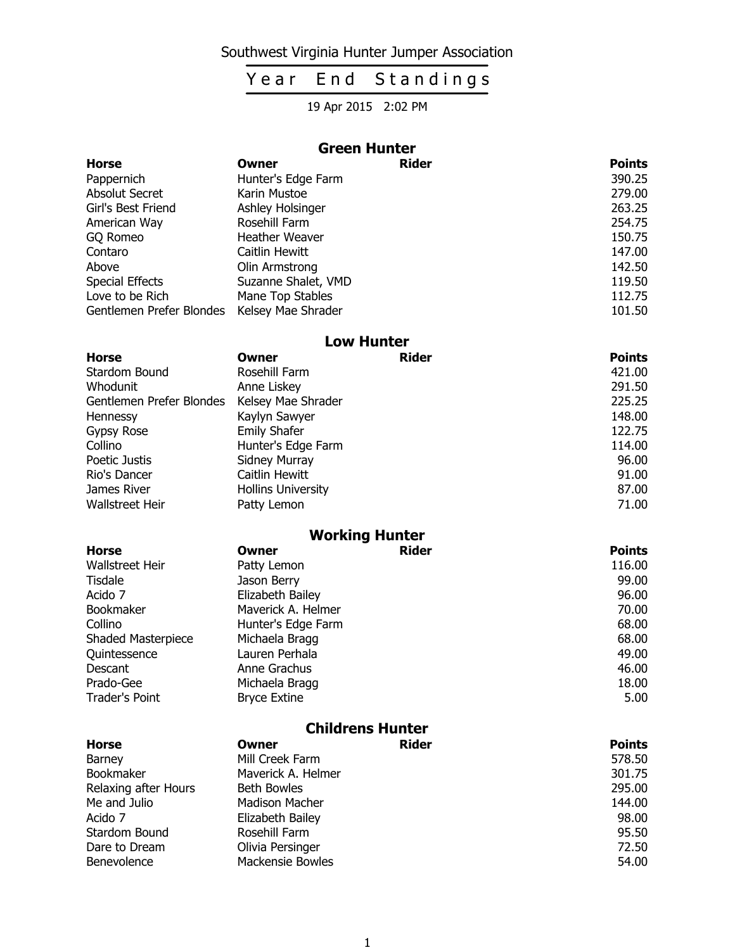### Southwest Virginia Hunter Jumper Association

# Year End Standings

19 Apr 2015 2:02 PM

|                          |                           | <b>Green Hunter</b>   |               |
|--------------------------|---------------------------|-----------------------|---------------|
| <b>Horse</b>             | Owner                     | <b>Rider</b>          | <b>Points</b> |
| Pappernich               | Hunter's Edge Farm        |                       | 390.25        |
| <b>Absolut Secret</b>    | Karin Mustoe              |                       | 279.00        |
| Girl's Best Friend       | Ashley Holsinger          |                       | 263.25        |
| American Way             | Rosehill Farm             |                       | 254.75        |
| GQ Romeo                 | <b>Heather Weaver</b>     |                       | 150.75        |
| Contaro                  | Caitlin Hewitt            |                       | 147.00        |
| Above                    | Olin Armstrong            |                       | 142.50        |
| <b>Special Effects</b>   | Suzanne Shalet, VMD       |                       | 119.50        |
| Love to be Rich          | Mane Top Stables          |                       | 112.75        |
| Gentlemen Prefer Blondes | Kelsey Mae Shrader        |                       | 101.50        |
|                          |                           | <b>Low Hunter</b>     |               |
| <b>Horse</b>             | Owner                     | Rider                 | <b>Points</b> |
| <b>Stardom Bound</b>     | Rosehill Farm             |                       | 421.00        |
| Whodunit                 | Anne Liskey               |                       | 291.50        |
| Gentlemen Prefer Blondes | Kelsey Mae Shrader        |                       | 225.25        |
| Hennessy                 | Kaylyn Sawyer             |                       | 148.00        |
| Gypsy Rose               | <b>Emily Shafer</b>       |                       | 122.75        |
| Collino                  | Hunter's Edge Farm        |                       | 114.00        |
| Poetic Justis            | Sidney Murray             |                       | 96.00         |
| Rio's Dancer             | Caitlin Hewitt            |                       | 91.00         |
| James River              | <b>Hollins University</b> |                       | 87.00         |
| <b>Wallstreet Heir</b>   | Patty Lemon               |                       | 71.00         |
|                          |                           | <b>Working Hunter</b> |               |
| <b>Horse</b>             | Owner                     | <b>Rider</b>          | <b>Points</b> |
| Walletroot Hoir          | $D2H1 L2$                 |                       | 116 M         |

| Wallstreet Heir       | Patty Lemon         | 116.00 |
|-----------------------|---------------------|--------|
| Tisdale               | Jason Berry         | 99.00  |
| Acido 7               | Elizabeth Bailey    | 96.00  |
| Bookmaker             | Maverick A. Helmer  | 70.00  |
| Collino               | Hunter's Edge Farm  | 68.00  |
| Shaded Masterpiece    | Michaela Bragg      | 68.00  |
| Quintessence          | Lauren Perhala      | 49.00  |
| Descant               | Anne Grachus        | 46.00  |
| Prado-Gee             | Michaela Bragg      | 18.00  |
| <b>Trader's Point</b> | <b>Bryce Extine</b> | 5.00   |

| <b>Childrens Hunter</b> |                         |              |               |
|-------------------------|-------------------------|--------------|---------------|
| <b>Horse</b>            | Owner                   | <b>Rider</b> | <b>Points</b> |
| Barney                  | Mill Creek Farm         |              | 578.50        |
| Bookmaker               | Maverick A. Helmer      |              | 301.75        |
| Relaxing after Hours    | <b>Beth Bowles</b>      |              | 295.00        |
| Me and Julio            | <b>Madison Macher</b>   |              | 144.00        |
| Acido 7                 | Elizabeth Bailey        |              | 98.00         |
| Stardom Bound           | Rosehill Farm           |              | 95.50         |
| Dare to Dream           | Olivia Persinger        |              | 72.50         |
| Benevolence             | <b>Mackensie Bowles</b> |              | 54.00         |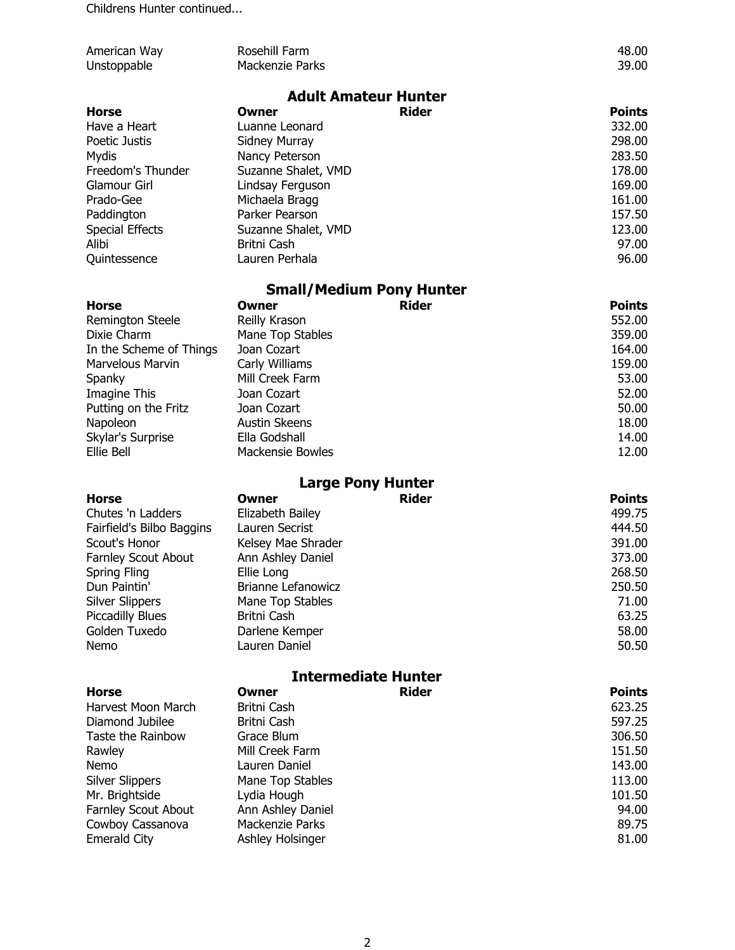Childrens Hunter continued...

| American Way               | Rosehill Farm                   |              | 48.00         |
|----------------------------|---------------------------------|--------------|---------------|
| Unstoppable                | <b>Mackenzie Parks</b>          |              | 39.00         |
|                            |                                 |              |               |
|                            | <b>Adult Amateur Hunter</b>     |              |               |
| <b>Horse</b>               | Owner                           | <b>Rider</b> | <b>Points</b> |
| Have a Heart               | Luanne Leonard                  |              | 332.00        |
| Poetic Justis              | <b>Sidney Murray</b>            |              | 298.00        |
| Mydis                      | Nancy Peterson                  |              | 283.50        |
| Freedom's Thunder          | Suzanne Shalet, VMD             |              | 178.00        |
| <b>Glamour Girl</b>        | Lindsay Ferguson                |              | 169.00        |
| Prado-Gee                  | Michaela Bragg                  |              | 161.00        |
| Paddington                 | Parker Pearson                  |              | 157.50        |
| <b>Special Effects</b>     | Suzanne Shalet, VMD             |              | 123.00        |
| Alibi                      | Britni Cash                     |              | 97.00         |
| Quintessence               | Lauren Perhala                  |              | 96.00         |
|                            | <b>Small/Medium Pony Hunter</b> |              |               |
| <b>Horse</b>               | Owner                           | <b>Rider</b> | <b>Points</b> |
| <b>Remington Steele</b>    | Reilly Krason                   |              | 552.00        |
| Dixie Charm                | Mane Top Stables                |              | 359.00        |
| In the Scheme of Things    | Joan Cozart                     |              | 164.00        |
| Marvelous Marvin           | Carly Williams                  |              | 159.00        |
| Spanky                     | Mill Creek Farm                 |              | 53.00         |
| Imagine This               | Joan Cozart                     |              | 52.00         |
| Putting on the Fritz       | Joan Cozart                     |              | 50.00         |
| Napoleon                   | <b>Austin Skeens</b>            |              | 18.00         |
| Skylar's Surprise          | Ella Godshall                   |              | 14.00         |
| Ellie Bell                 | <b>Mackensie Bowles</b>         |              | 12.00         |
|                            | <b>Large Pony Hunter</b>        |              |               |
| <b>Horse</b>               | <b>Owner</b>                    | <b>Rider</b> | <b>Points</b> |
| Chutes 'n Ladders          | Elizabeth Bailey                |              | 499.75        |
| Fairfield's Bilbo Baggins  | Lauren Secrist                  |              | 444.50        |
| Scout's Honor              | Kelsey Mae Shrader              |              | 391.00        |
| Farnley Scout About        | Ann Ashley Daniel               |              | 373.00        |
| Spring Fling               | Ellie Long                      |              | 268.50        |
| Dun Paintin'               | <b>Brianne Lefanowicz</b>       |              | 250.50        |
| <b>Silver Slippers</b>     | Mane Top Stables                |              | 71.00         |
| <b>Piccadilly Blues</b>    | Britni Cash                     |              | 63.25         |
| Golden Tuxedo              | Darlene Kemper                  |              | 58.00         |
| Nemo                       | Lauren Daniel                   |              | 50.50         |
| <b>Intermediate Hunter</b> |                                 |              |               |
| <b>Horse</b>               | Owner                           | <b>Rider</b> | <b>Points</b> |
| Harvest Moon March         | Britni Cash                     |              | 623.25        |
| Diamond Jubilee            | Britni Cash                     |              | 597.25        |
| Taste the Rainbow          | Grace Blum                      |              | 306.50        |
| Rawley                     | Mill Creek Farm                 |              | 151.50        |
| Nemo                       | Lauren Daniel                   |              | 143.00        |
| <b>Silver Slippers</b>     | Mane Top Stables                |              | 113.00        |
| Mr. Brightside             | Lydia Hough                     |              | 101.50        |
| Farnley Scout About        | Ann Ashley Daniel               |              | 94.00         |
| Cowboy Cassanova           | Mackenzie Parks                 |              | 89.75         |
| <b>Emerald City</b>        | Ashley Holsinger                |              | 81.00         |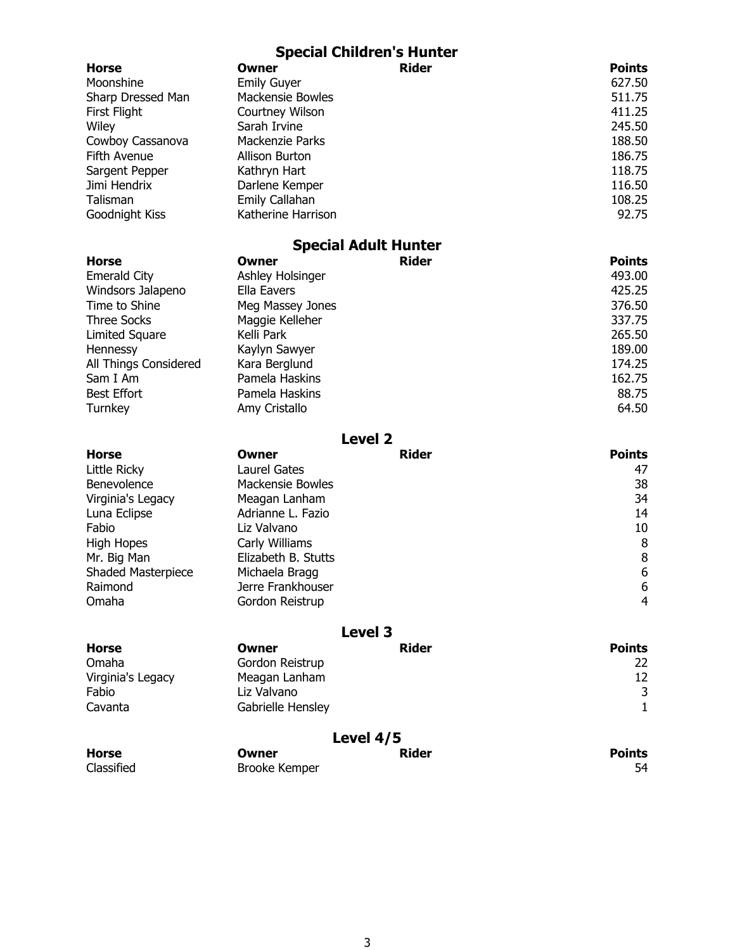|                            |                              | <b>Special Children's Hunter</b> |                   |
|----------------------------|------------------------------|----------------------------------|-------------------|
| <b>Horse</b>               | Owner                        | <b>Rider</b>                     | <b>Points</b>     |
| Moonshine                  | <b>Emily Guyer</b>           |                                  | 627.50            |
| Sharp Dressed Man          | <b>Mackensie Bowles</b>      |                                  | 511.75            |
| First Flight               | Courtney Wilson              |                                  | 411.25            |
| Wiley                      | Sarah Irvine                 |                                  | 245.50            |
| Cowboy Cassanova           | <b>Mackenzie Parks</b>       |                                  | 188.50            |
| Fifth Avenue               | Allison Burton               |                                  | 186.75            |
| Sargent Pepper             | Kathryn Hart                 |                                  | 118.75            |
| Jimi Hendrix               | Darlene Kemper               |                                  | 116.50            |
| Talisman                   | Emily Callahan               |                                  | 108.25            |
| Goodnight Kiss             | Katherine Harrison           |                                  | 92.75             |
|                            |                              | <b>Special Adult Hunter</b>      |                   |
| <b>Horse</b>               | Owner                        | <b>Rider</b>                     | <b>Points</b>     |
| <b>Emerald City</b>        | Ashley Holsinger             |                                  | 493.00            |
| Windsors Jalapeno          | <b>Ella Eavers</b>           |                                  | 425.25            |
| Time to Shine              | Meg Massey Jones             |                                  | 376.50            |
| <b>Three Socks</b>         | Maggie Kelleher              |                                  | 337.75            |
| <b>Limited Square</b>      | Kelli Park                   |                                  | 265.50            |
| Hennessy                   | Kaylyn Sawyer                |                                  | 189.00            |
| All Things Considered      | Kara Berglund                |                                  | 174.25            |
| Sam I Am                   | Pamela Haskins               |                                  | 162.75            |
| <b>Best Effort</b>         | Pamela Haskins               |                                  | 88.75             |
| Turnkey                    | Amy Cristallo                |                                  | 64.50             |
|                            |                              | <b>Level 2</b>                   |                   |
| <b>Horse</b>               | Owner                        | <b>Rider</b>                     | <b>Points</b>     |
| Little Ricky               | <b>Laurel Gates</b>          |                                  | 47                |
| Benevolence                | <b>Mackensie Bowles</b>      |                                  | 38                |
| Virginia's Legacy          | Meagan Lanham                |                                  | 34                |
| Luna Eclipse               | Adrianne L. Fazio            |                                  | 14                |
| Fabio                      | Liz Valvano                  |                                  | 10                |
| <b>High Hopes</b>          | Carly Williams               |                                  | 8                 |
| Mr. Big Man                | Elizabeth B. Stutts          |                                  | 8                 |
| Shaded Masterpiece         | Michaela Bragg               |                                  | 6                 |
| Raimond                    | Jerre Frankhouser            |                                  | 6                 |
| Omaha                      | Gordon Reistrup              |                                  | $\overline{4}$    |
|                            |                              | <b>Level 3</b>                   |                   |
| <b>Horse</b>               | <b>Owner</b>                 | <b>Rider</b>                     | <b>Points</b>     |
| Omaha                      |                              |                                  |                   |
|                            | Gordon Reistrup              |                                  | 22<br>12          |
| Virginia's Legacy<br>Fabio | Meagan Lanham<br>Liz Valvano |                                  |                   |
| Cavanta                    |                              |                                  | 3<br>$\mathbf{1}$ |
|                            | Gabrielle Hensley            |                                  |                   |
| Level 4/5                  |                              |                                  |                   |
| <b>Horse</b>               | Owner                        | <b>Rider</b>                     | <b>Points</b>     |
| Classified                 | <b>Brooke Kemper</b>         |                                  | 54                |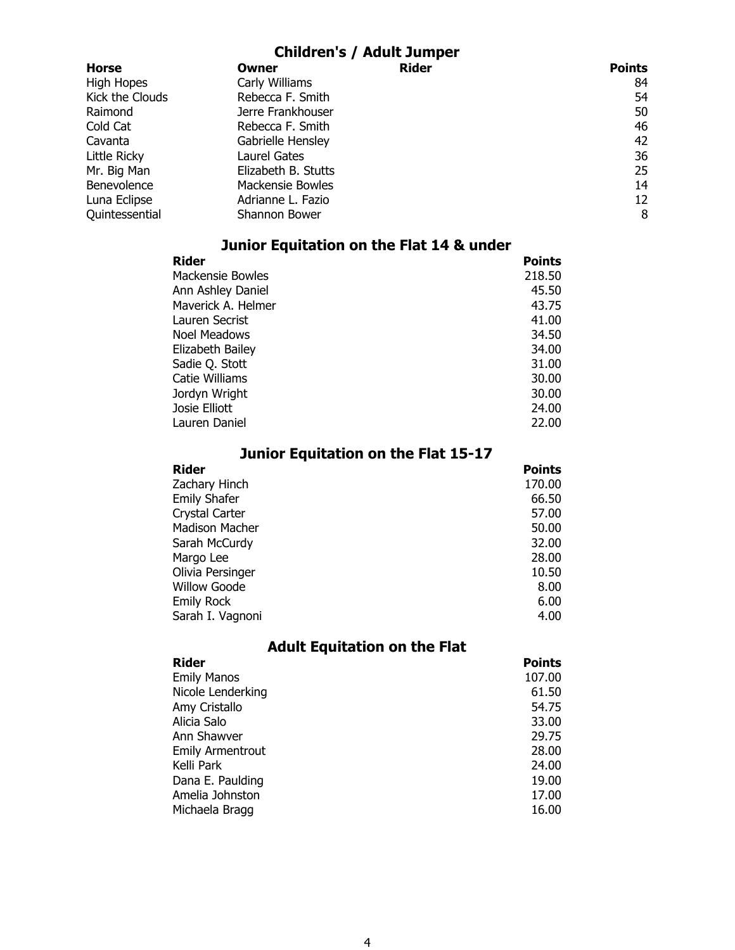#### Children's / Adult Jumper

| <b>Horse</b>      | Owner               | <b>Rider</b> | <b>Points</b> |
|-------------------|---------------------|--------------|---------------|
| <b>High Hopes</b> | Carly Williams      |              | 84            |
| Kick the Clouds   | Rebecca F. Smith    |              | 54            |
| Raimond           | Jerre Frankhouser   |              | 50            |
| Cold Cat          | Rebecca F. Smith    |              | 46            |
| Cavanta           | Gabrielle Hensley   |              | 42            |
| Little Ricky      | Laurel Gates        |              | 36            |
| Mr. Big Man       | Elizabeth B. Stutts |              | 25            |
| Benevolence       | Mackensie Bowles    |              | 14            |
| Luna Eclipse      | Adrianne L. Fazio   |              | 12            |
| Quintessential    | Shannon Bower       |              | 8             |

### Junior Equitation on the Flat 14 & under

| <b>Rider</b>       | <b>Points</b> |
|--------------------|---------------|
| Mackensie Bowles   | 218.50        |
| Ann Ashley Daniel  | 45.50         |
| Maverick A. Helmer | 43.75         |
| Lauren Secrist     | 41.00         |
| Noel Meadows       | 34.50         |
| Elizabeth Bailey   | 34.00         |
| Sadie Q. Stott     | 31.00         |
| Catie Williams     | 30.00         |
| Jordyn Wright      | 30.00         |
| Josie Elliott      | 24.00         |
| Lauren Daniel      | 22.00         |
|                    |               |

| Junior Equitation on the Flat 15-17 |               |  |
|-------------------------------------|---------------|--|
| Rider                               | <b>Points</b> |  |
| Zachary Hinch                       | 170.00        |  |
| <b>Emily Shafer</b>                 | 66.50         |  |
| Crystal Carter                      | 57.00         |  |
| <b>Madison Macher</b>               | 50.00         |  |
| Sarah McCurdy                       | 32.00         |  |
| Margo Lee                           | 28.00         |  |
| Olivia Persinger                    | 10.50         |  |
| <b>Willow Goode</b>                 | 8.00          |  |
| <b>Emily Rock</b>                   | 6.00          |  |
| Sarah I. Vagnoni                    | 4.00          |  |

### Adult Equitation on the Flat

| <b>Rider</b>            | <b>Points</b> |
|-------------------------|---------------|
| <b>Emily Manos</b>      | 107.00        |
| Nicole Lenderking       | 61.50         |
| Amy Cristallo           | 54.75         |
| Alicia Salo             | 33.00         |
| Ann Shawver             | 29.75         |
| <b>Emily Armentrout</b> | 28.00         |
| Kelli Park              | 24.00         |
| Dana E. Paulding        | 19.00         |
| Amelia Johnston         | 17.00         |
| Michaela Bragg          | 16.00         |
|                         |               |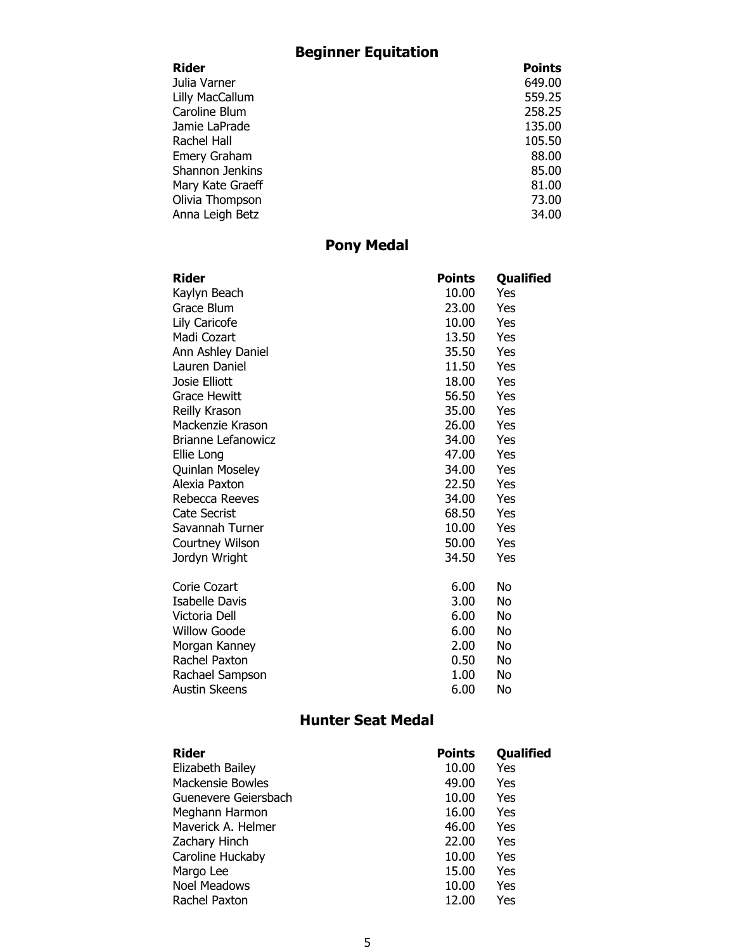## Beginner Equitation

| Rider               | <b>Points</b> |
|---------------------|---------------|
| Julia Varner        | 649.00        |
| Lilly MacCallum     | 559.25        |
| Caroline Blum       | 258.25        |
| Jamie LaPrade       | 135.00        |
| Rachel Hall         | 105.50        |
| <b>Emery Graham</b> | 88.00         |
| Shannon Jenkins     | 85.00         |
| Mary Kate Graeff    | 81.00         |
| Olivia Thompson     | 73.00         |
| Anna Leigh Betz     | 34.00         |
|                     |               |

### Pony Medal

| Rider                     | <b>Points</b> | Qualified |
|---------------------------|---------------|-----------|
| Kaylyn Beach              | 10.00         | Yes       |
| Grace Blum                | 23.00         | Yes       |
| Lily Caricofe             | 10.00         | Yes       |
| Madi Cozart               | 13.50         | Yes       |
| Ann Ashley Daniel         | 35.50         | Yes       |
| Lauren Daniel             | 11.50         | Yes       |
| Josie Elliott             | 18.00         | Yes       |
| <b>Grace Hewitt</b>       | 56.50         | Yes       |
| Reilly Krason             | 35.00         | Yes       |
| Mackenzie Krason          | 26.00         | Yes       |
| <b>Brianne Lefanowicz</b> | 34.00         | Yes       |
| Ellie Long                | 47.00         | Yes       |
| Quinlan Moseley           | 34.00         | Yes       |
| Alexia Paxton             | 22.50         | Yes       |
| Rebecca Reeves            | 34.00         | Yes       |
| <b>Cate Secrist</b>       | 68.50         | Yes       |
| Savannah Turner           | 10.00         | Yes       |
| <b>Courtney Wilson</b>    | 50.00         | Yes       |
| Jordyn Wright             | 34.50         | Yes       |
| Corie Cozart              | 6.00          | No        |
| <b>Isabelle Davis</b>     | 3.00          | No        |
| Victoria Dell             | 6.00          | No        |
| <b>Willow Goode</b>       | 6.00          | No        |
| Morgan Kanney             | 2.00          | No        |
| Rachel Paxton             | 0.50          | No        |
| Rachael Sampson           | 1.00          | No        |
| <b>Austin Skeens</b>      | 6.00          | No        |

#### Hunter Seat Medal

| <b>Rider</b>            | <b>Points</b> | <b>Qualified</b> |
|-------------------------|---------------|------------------|
| Elizabeth Bailey        | 10.00         | Yes              |
| <b>Mackensie Bowles</b> | 49.00         | Yes              |
| Guenevere Geiersbach    | 10.00         | Yes              |
| Meghann Harmon          | 16.00         | Yes              |
| Maverick A. Helmer      | 46.00         | Yes              |
| Zachary Hinch           | 22.00         | Yes              |
| Caroline Huckaby        | 10.00         | Yes              |
| Margo Lee               | 15.00         | Yes              |
| <b>Noel Meadows</b>     | 10.00         | Yes              |
| Rachel Paxton           | 12.00         | Yes              |